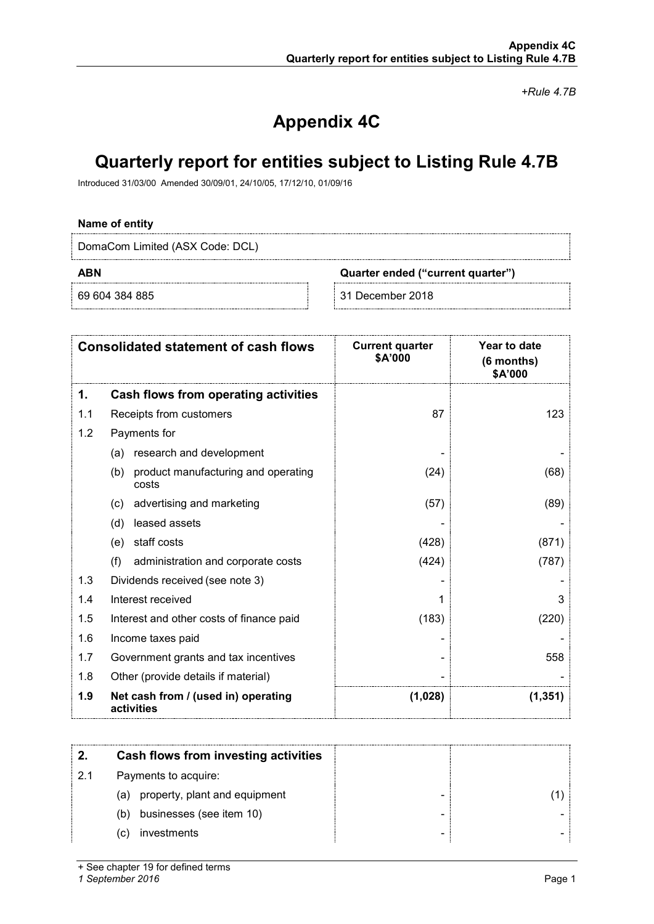*+Rule 4.7B*

# **Appendix 4C**

# **Quarterly report for entities subject to Listing Rule 4.7B**

Introduced 31/03/00 Amended 30/09/01, 24/10/05, 17/12/10, 01/09/16

### **Name of entity**

DomaCom Limited (ASX Code: DCL)

**ABN Quarter ended ("current quarter")**

69 604 384 885 31 December 2018

|     | <b>Consolidated statement of cash flows</b>         | <b>Current quarter</b><br>\$A'000 | Year to date<br>$(6$ months)<br>\$A'000 |
|-----|-----------------------------------------------------|-----------------------------------|-----------------------------------------|
| 1.  | <b>Cash flows from operating activities</b>         |                                   |                                         |
| 1.1 | Receipts from customers                             | 87                                | 123                                     |
| 1.2 | Payments for                                        |                                   |                                         |
|     | research and development<br>(a)                     |                                   |                                         |
|     | (b)<br>product manufacturing and operating<br>costs | (24)                              | (68)                                    |
|     | advertising and marketing<br>(c)                    | (57)                              | (89)                                    |
|     | leased assets<br>(d)                                |                                   |                                         |
|     | staff costs<br>(e)                                  | (428)                             | (871)                                   |
|     | (f)<br>administration and corporate costs           | (424)                             | (787)                                   |
| 1.3 | Dividends received (see note 3)                     |                                   |                                         |
| 1.4 | Interest received                                   |                                   | 3                                       |
| 1.5 | Interest and other costs of finance paid            | (183)                             | (220)                                   |
| 1.6 | Income taxes paid                                   |                                   |                                         |
| 1.7 | Government grants and tax incentives                |                                   | 558                                     |
| 1.8 | Other (provide details if material)                 |                                   |                                         |
| 1.9 | Net cash from / (used in) operating<br>activities   | (1,028)                           | (1, 351)                                |

|    | Cash flows from investing activities |  |
|----|--------------------------------------|--|
| 21 | Payments to acquire:                 |  |
|    | (a) property, plant and equipment    |  |
|    | businesses (see item 10)<br>(b)      |  |
|    | investments<br>(C)                   |  |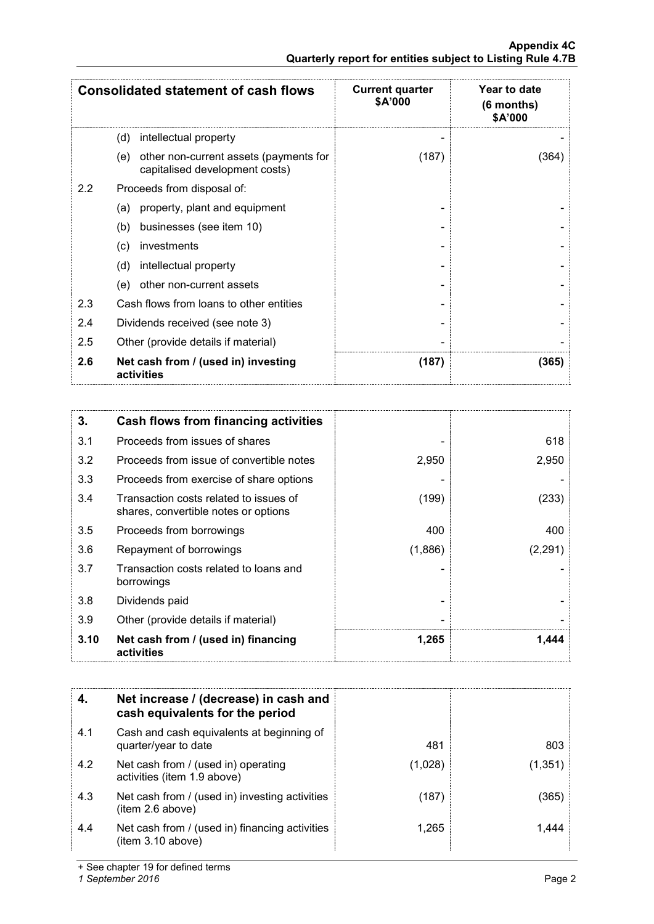|         | <b>Consolidated statement of cash flows</b>                                     | <b>Current quarter</b><br>\$A'000 | Year to date<br>$(6$ months)<br>\$A'000 |
|---------|---------------------------------------------------------------------------------|-----------------------------------|-----------------------------------------|
|         | (d)<br>intellectual property                                                    |                                   |                                         |
|         | other non-current assets (payments for<br>(e)<br>capitalised development costs) | (187)                             | (364)                                   |
| $2.2\,$ | Proceeds from disposal of:                                                      |                                   |                                         |
|         | property, plant and equipment<br>(a)                                            |                                   |                                         |
|         | businesses (see item 10)<br>(b)                                                 |                                   |                                         |
|         | investments<br>(c)                                                              |                                   |                                         |
|         | (d)<br>intellectual property                                                    |                                   |                                         |
|         | other non-current assets<br>(e)                                                 |                                   |                                         |
| 2.3     | Cash flows from loans to other entities                                         |                                   |                                         |
| 2.4     | Dividends received (see note 3)                                                 |                                   |                                         |
| 2.5     | Other (provide details if material)                                             |                                   |                                         |
| 2.6     | Net cash from / (used in) investing<br>activities                               | (187)                             | (365)                                   |

| 3.   | Cash flows from financing activities                                           |         |         |
|------|--------------------------------------------------------------------------------|---------|---------|
| 3.1  | Proceeds from issues of shares                                                 |         | 618     |
| 3.2  | Proceeds from issue of convertible notes                                       | 2,950   | 2,950   |
| 3.3  | Proceeds from exercise of share options                                        |         |         |
| 3.4  | Transaction costs related to issues of<br>shares, convertible notes or options | (199)   | (233)   |
| 3.5  | Proceeds from borrowings                                                       | 400     | 400     |
| 3.6  | Repayment of borrowings                                                        | (1,886) | (2,291) |
| 3.7  | Transaction costs related to loans and<br>borrowings                           |         |         |
| 3.8  | Dividends paid                                                                 |         |         |
| 3.9  | Other (provide details if material)                                            |         |         |
| 3.10 | Net cash from / (used in) financing<br>activities                              | 1,265   | 1.444   |

|     | Net increase / (decrease) in cash and<br>cash equivalents for the period |        |        |
|-----|--------------------------------------------------------------------------|--------|--------|
| 4.1 | Cash and cash equivalents at beginning of<br>quarter/year to date        | 481    | 803    |
| 4.2 | Net cash from / (used in) operating<br>activities (item 1.9 above)       | (1,028 | 1.351) |
| 4.3 | Net cash from / (used in) investing activities<br>item 2.6 above)        | (187)  | 365    |
| 4.4 | Net cash from / (used in) financing activities<br>item 3.10 above)       | 1.265  |        |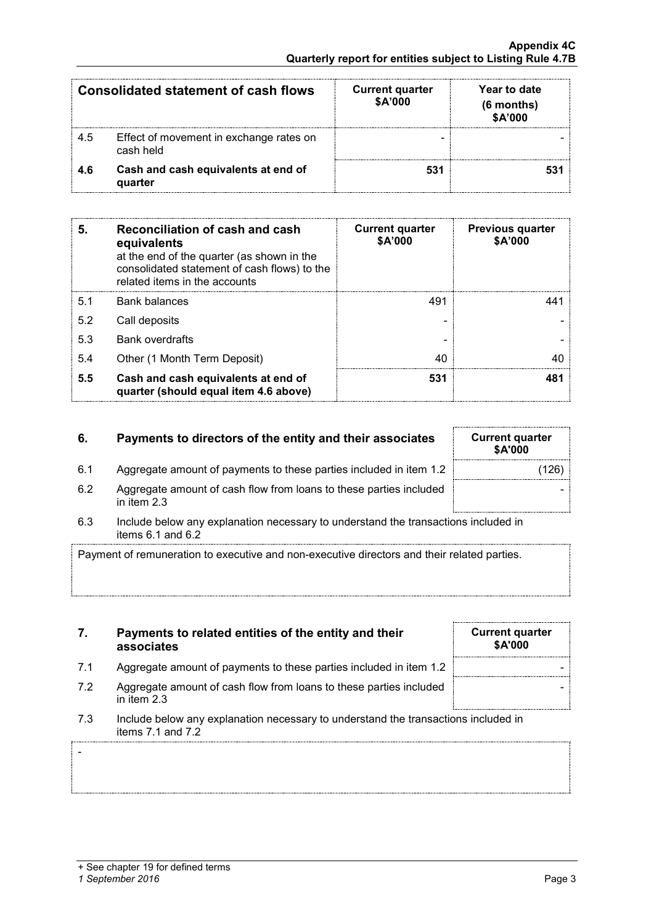-

| Consolidated statement of cash flows |                                                      | <b>Current quarter</b><br>\$A'000 | Year to date<br>(6 months)<br>\$A'000 |
|--------------------------------------|------------------------------------------------------|-----------------------------------|---------------------------------------|
| 4.5                                  | Effect of movement in exchange rates on<br>cash held | -                                 |                                       |
| 46                                   | Cash and cash equivalents at end of<br>quarter       | 531                               |                                       |

| 5.  | Reconciliation of cash and cash<br>equivalents<br>at the end of the quarter (as shown in the<br>consolidated statement of cash flows) to the<br>related items in the accounts | <b>Current quarter</b><br>\$A'000 | <b>Previous quarter</b><br>\$A'000 |
|-----|-------------------------------------------------------------------------------------------------------------------------------------------------------------------------------|-----------------------------------|------------------------------------|
| 5.1 | <b>Bank balances</b>                                                                                                                                                          | 491                               |                                    |
| 5.2 | Call deposits                                                                                                                                                                 |                                   |                                    |
| 5.3 | <b>Bank overdrafts</b>                                                                                                                                                        |                                   |                                    |
| 5.4 | Other (1 Month Term Deposit)                                                                                                                                                  | 40                                |                                    |
| 5.5 | Cash and cash equivalents at end of<br>quarter (should equal item 4.6 above)                                                                                                  | 531                               |                                    |

## **6.** Payments to directors of the entity and their associates

- 6.1 Aggregate amount of payments to these parties included in item 1.2
- 6.2 Aggregate amount of cash flow from loans to these parties included in item 2.3
- 6.3 Include below any explanation necessary to understand the transactions included in items 6.1 and 6.2

Payment of remuneration to executive and non-executive directors and their related parties.

- **7. Payments to related entities of the entity and their associates**
- 7.1 Aggregate amount of payments to these parties included in item 1.2
- 7.2 Aggregate amount of cash flow from loans to these parties included in item 2.3
- 7.3 Include below any explanation necessary to understand the transactions included in items 7.1 and 7.2

| <b>Current quarter</b><br>\$A'000 |  |
|-----------------------------------|--|
|                                   |  |
|                                   |  |
|                                   |  |

| <b>Current quarter</b><br>\$A'000 |       |
|-----------------------------------|-------|
|                                   | (126) |
|                                   |       |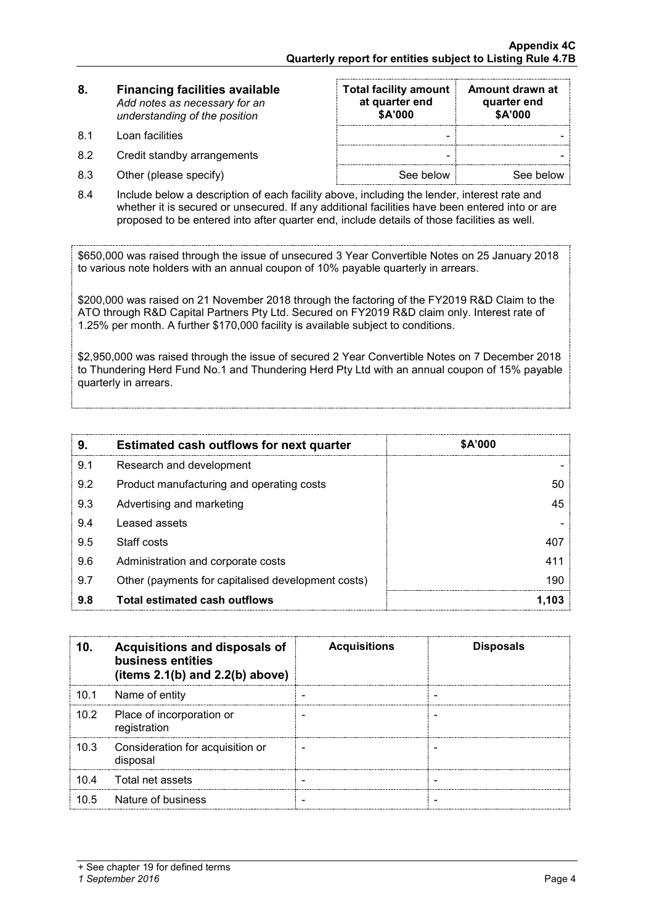| <b>Financing facilities available</b><br>8. |                               |
|---------------------------------------------|-------------------------------|
|                                             | Add notes as necessary for an |
|                                             | understanding of the position |

- 8.1 Loan facilities
- 8.2 Credit standby arrangements
- $8.3$  Other (please specify)

| <b>Total facility amount</b><br>at quarter end<br>\$A'000 | Amount drawn at<br>quarter end<br>\$A'000 |
|-----------------------------------------------------------|-------------------------------------------|
|                                                           |                                           |
|                                                           |                                           |
| See below                                                 | See below                                 |

8.4 Include below a description of each facility above, including the lender, interest rate and whether it is secured or unsecured. If any additional facilities have been entered into or are proposed to be entered into after quarter end, include details of those facilities as well.

\$650,000 was raised through the issue of unsecured 3 Year Convertible Notes on 25 January 2018 to various note holders with an annual coupon of 10% payable quarterly in arrears.

\$200,000 was raised on 21 November 2018 through the factoring of the FY2019 R&D Claim to the ATO through R&D Capital Partners Pty Ltd. Secured on FY2019 R&D claim only. Interest rate of 1.25% per month. A further \$170,000 facility is available subject to conditions.

\$2,950,000 was raised through the issue of secured 2 Year Convertible Notes on 7 December 2018 to Thundering Herd Fund No.1 and Thundering Herd Pty Ltd with an annual coupon of 15% payable quarterly in arrears.

| 9.  | <b>Estimated cash outflows for next quarter</b>    | \$A'000 |
|-----|----------------------------------------------------|---------|
| 9.1 | Research and development                           |         |
| 9.2 | Product manufacturing and operating costs          | 50      |
| 9.3 | Advertising and marketing                          | 45      |
| 9.4 | Leased assets                                      |         |
| 9.5 | Staff costs                                        |         |
| 9.6 | Administration and corporate costs                 | 411     |
| 9.7 | Other (payments for capitalised development costs) | 190     |
| 9.8 | Total estimated cash outflows                      |         |

|                   | Acquisitions and disposals of<br>business entities<br>(items $2.1(b)$ and $2.2(b)$ above) | <b>Acquisitions</b> | <b>Disposals</b> |
|-------------------|-------------------------------------------------------------------------------------------|---------------------|------------------|
| 10.1              | Name of entity                                                                            |                     |                  |
| 10.2 <sub>1</sub> | Place of incorporation or<br>registration                                                 |                     |                  |
| 10.3              | Consideration for acquisition or<br>disposal                                              |                     |                  |
| 10.4              | Total net assets                                                                          |                     |                  |
| 10.5              | Nature of business                                                                        |                     |                  |